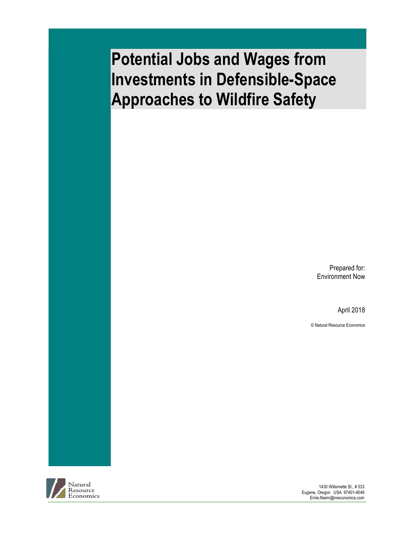## **Potential Jobs and Wages from Investments in Defensible-Space Approaches to Wildfire Safety**

Prepared for: Environment Now

April 2018

© Natural Resource Economics



1430 Willamette St., # 533 Eugene, Oregon USA 97401-4049 Ernie.Niemi@nreconomics.com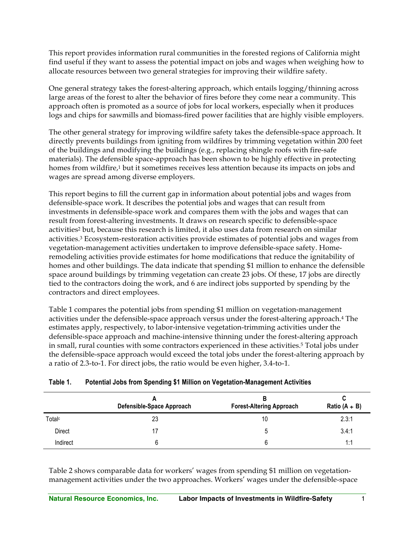This report provides information rural communities in the forested regions of California might find useful if they want to assess the potential impact on jobs and wages when weighing how to allocate resources between two general strategies for improving their wildfire safety.

One general strategy takes the forest-altering approach, which entails logging/thinning across large areas of the forest to alter the behavior of fires before they come near a community. This approach often is promoted as a source of jobs for local workers, especially when it produces logs and chips for sawmills and biomass-fired power facilities that are highly visible employers.

The other general strategy for improving wildfire safety takes the defensible-space approach. It directly prevents buildings from igniting from wildfires by trimming vegetation within 200 feet of the buildings and modifying the buildings (e.g., replacing shingle roofs with fire-safe materials). The defensible space-approach has been shown to be highly effective in protecting homes from wildfire,<sup>1</sup> but it sometimes receives less attention because its impacts on jobs and wages are spread among diverse employers.

This report begins to fill the current gap in information about potential jobs and wages from defensible-space work. It describes the potential jobs and wages that can result from investments in defensible-space work and compares them with the jobs and wages that can result from forest-altering investments. It draws on research specific to defensible-space activities2 but, because this research is limited, it also uses data from research on similar activities.3 Ecosystem-restoration activities provide estimates of potential jobs and wages from vegetation-management activities undertaken to improve defensible-space safety. Homeremodeling activities provide estimates for home modifications that reduce the ignitability of homes and other buildings. The data indicate that spending \$1 million to enhance the defensible space around buildings by trimming vegetation can create 23 jobs. Of these, 17 jobs are directly tied to the contractors doing the work, and 6 are indirect jobs supported by spending by the contractors and direct employees.

Table 1 compares the potential jobs from spending \$1 million on vegetation-management activities under the defensible-space approach versus under the forest-altering approach.4 The estimates apply, respectively, to labor-intensive vegetation-trimming activities under the defensible-space approach and machine-intensive thinning under the forest-altering approach in small, rural counties with some contractors experienced in these activities.<sup>5</sup> Total jobs under the defensible-space approach would exceed the total jobs under the forest-altering approach by a ratio of 2.3-to-1. For direct jobs, the ratio would be even higher, 3.4-to-1.

|                    | Defensible-Space Approach | <b>Forest-Altering Approach</b> | Ratio $(A + B)$ |
|--------------------|---------------------------|---------------------------------|-----------------|
| Total <sup>c</sup> | 23                        | 10                              | 2.3:1           |
| Direct             | 17                        |                                 | 3.4:1           |
| Indirect           | 6                         |                                 | 1:1             |

## **Table 1. Potential Jobs from Spending \$1 Million on Vegetation-Management Activities**

Table 2 shows comparable data for workers' wages from spending \$1 million on vegetationmanagement activities under the two approaches. Workers' wages under the defensible-space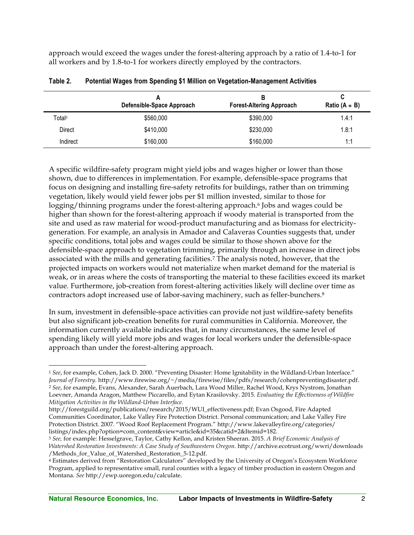approach would exceed the wages under the forest-altering approach by a ratio of 1.4-to-1 for all workers and by 1.8-to-1 for workers directly employed by the contractors.

|                    | Defensible-Space Approach | В<br><b>Forest-Altering Approach</b> | C<br>Ratio $(A + B)$ |
|--------------------|---------------------------|--------------------------------------|----------------------|
| Total <sup>c</sup> | \$560,000                 | \$390,000                            | 1.4:1                |
| <b>Direct</b>      | \$410,000                 | \$230,000                            | 1.8:1                |
| Indirect           | \$160,000                 | \$160,000                            | 1:1                  |

| Table 2. |  |  | Potential Wages from Spending \$1 Million on Vegetation-Management Activities |
|----------|--|--|-------------------------------------------------------------------------------|
|----------|--|--|-------------------------------------------------------------------------------|

A specific wildfire-safety program might yield jobs and wages higher or lower than those shown, due to differences in implementation. For example, defensible-space programs that focus on designing and installing fire-safety retrofits for buildings, rather than on trimming vegetation, likely would yield fewer jobs per \$1 million invested, similar to those for logging/thinning programs under the forest-altering approach.<sup>6</sup> Jobs and wages could be higher than shown for the forest-altering approach if woody material is transported from the site and used as raw material for wood-product manufacturing and as biomass for electricitygeneration. For example, an analysis in Amador and Calaveras Counties suggests that, under specific conditions, total jobs and wages could be similar to those shown above for the defensible-space approach to vegetation trimming, primarily through an increase in direct jobs associated with the mills and generating facilities.7 The analysis noted, however, that the projected impacts on workers would not materialize when market demand for the material is weak, or in areas where the costs of transporting the material to these facilities exceed its market value. Furthermore, job-creation from forest-altering activities likely will decline over time as contractors adopt increased use of labor-saving machinery, such as feller-bunchers.8

In sum, investment in defensible-space activities can provide not just wildfire-safety benefits but also significant job-creation benefits for rural communities in California. Moreover, the information currently available indicates that, in many circumstances, the same level of spending likely will yield more jobs and wages for local workers under the defensible-space approach than under the forest-altering approach.

 <sup>1</sup> *See*, for example, Cohen, Jack D. 2000. "Preventing Disaster: Home Ignitability in the Wildland-Urban Interface." *Journal of Forestry.* http://www.firewise.org/~/media/firewise/files/pdfs/research/cohenpreventingdisaster.pdf. <sup>2</sup> *See*, for example, Evans, Alexander, Sarah Auerbach, Lara Wood Miller, Rachel Wood, Krys Nystrom, Jonathan Loevner, Amanda Aragon, Matthew Piccarello, and Eytan Krasilovsky. 2015. *Evaluating the Effectiveness of Wildfire Mitigation Activities in the Wildland-Urban Interface.*

http://forestguild.org/publications/research/2015/WUI\_effectiveness.pdf; Evan Osgood, Fire Adapted Communities Coordinator, Lake Valley Fire Protection District. Personal communication; and Lake Valley Fire Protection District. 2007. "Wood Roof Replacement Program." http://www.lakevalleyfire.org/categories/ listings/index.php?option=com\_content&view=article&id=35&catid=2&Itemid=182.

<sup>3</sup> *See,* for example: Hesselgrave, Taylor, Cathy Kellon, and Kristen Sheeran. 2015. *A Brief Economic Analysis of Watershed Restoration Investments: A Case Study of Southwestern Oregon.* http://archive.ecotrust.org/wwri/downloads /Methods\_for\_Value\_of\_Watershed\_Restoration\_5-12.pdf.

<sup>4</sup> Estimates derived from "Restoration Calculators" developed by the University of Oregon's Ecosystem Workforce Program, applied to representative small, rural counties with a legacy of timber production in eastern Oregon and Montana. *See* http://ewp.uoregon.edu/calculate.